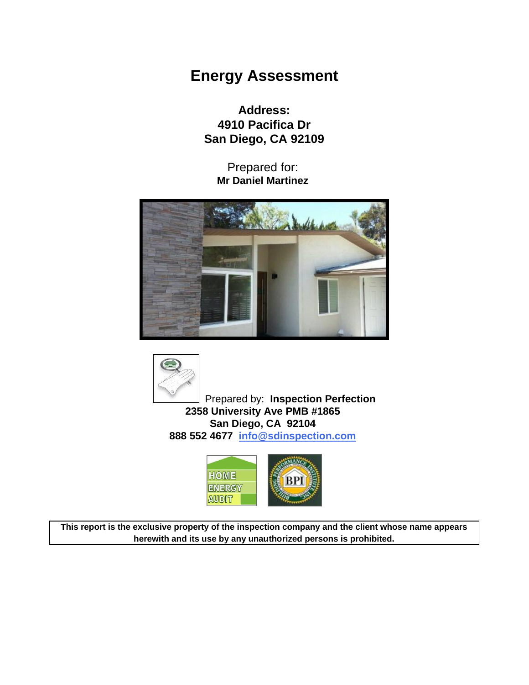# **Energy Assessment**

**Address: 4910 Pacifica Dr San Diego, CA 92109**

> Prepared for: **Mr Daniel Martinez**





Prepared by: **Inspection Perfection 2358 University Ave PMB #1865 San Diego, CA 92104 888 552 4677 [info@sdinspection.com](mailto:info@sdinspection.com)**



**This report is the exclusive property of the inspection company and the client whose name appears herewith and its use by any unauthorized persons is prohibited.**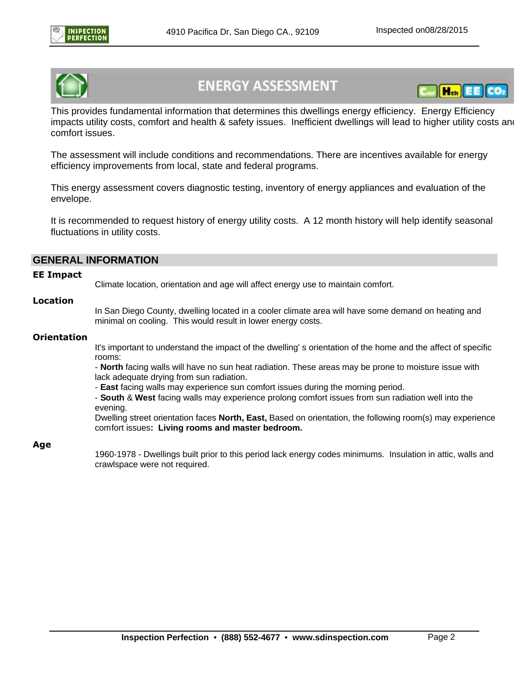



# **ENERGY ASSESSMENT**



This provides fundamental information that determines this dwellings energy efficiency. Energy Efficiency impacts utility costs, comfort and health & safety issues. Inefficient dwellings will lead to higher utility costs and comfort issues.

The assessment will include conditions and recommendations. There are incentives available for energy efficiency improvements from local, state and federal programs.

This energy assessment covers diagnostic testing, inventory of energy appliances and evaluation of the envelope.

It is recommended to request history of energy utility costs. A 12 month history will help identify seasonal fluctuations in utility costs.

#### **GENERAL INFORMATION**

#### **EE Impact**

Climate location, orientation and age will affect energy use to maintain comfort.

#### **Location**

In San Diego County, dwelling located in a cooler climate area will have some demand on heating and minimal on cooling. This would result in lower energy costs.

#### **Orientation**

It's important to understand the impact of the dwelling' s orientation of the home and the affect of specific rooms:

- **North** facing walls will have no sun heat radiation. These areas may be prone to moisture issue with lack adequate drying from sun radiation.

- **East** facing walls may experience sun comfort issues during the morning period.

- **South** & **West** facing walls may experience prolong comfort issues from sun radiation well into the evening.

Dwelling street orientation faces **North, East,** Based on orientation, the following room(s) may experience comfort issues**: Living rooms and master bedroom.**

#### **Age**

1960-1978 - Dwellings built prior to this period lack energy codes minimums. Insulation in attic, walls and crawlspace were not required.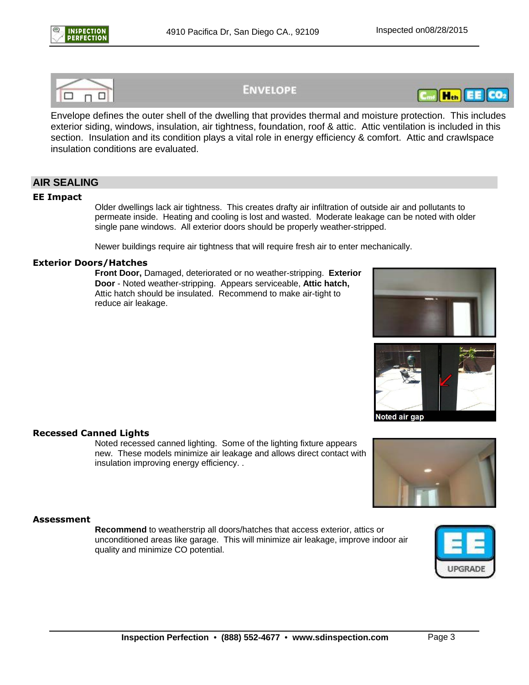

## **ENVELOPE**



Envelope defines the outer shell of the dwelling that provides thermal and moisture protection. This includes exterior siding, windows, insulation, air tightness, foundation, roof & attic. Attic ventilation is included in this section. Insulation and its condition plays a vital role in energy efficiency & comfort. Attic and crawlspace insulation conditions are evaluated.

## **AIR SEALING**

#### **EE Impact**

Older dwellings lack air tightness. This creates drafty air infiltration of outside air and pollutants to permeate inside. Heating and cooling is lost and wasted. Moderate leakage can be noted with older single pane windows. All exterior doors should be properly weather-stripped.

Newer buildings require air tightness that will require fresh air to enter mechanically.

#### **Exterior Doors/Hatches**

**Front Door,** Damaged, deteriorated or no weather-stripping. **Exterior Door** - Noted weather-stripping. Appears serviceable, **Attic hatch,** Attic hatch should be insulated. Recommend to make air-tight to reduce air leakage.





Noted air gap

#### **Recessed Canned Lights**

Noted recessed canned lighting. Some of the lighting fixture appears new. These models minimize air leakage and allows direct contact with insulation improving energy efficiency. .



#### **Assessment**

**Recommend** to weatherstrip all doors/hatches that access exterior, attics or unconditioned areas like garage. This will minimize air leakage, improve indoor air quality and minimize CO potential.

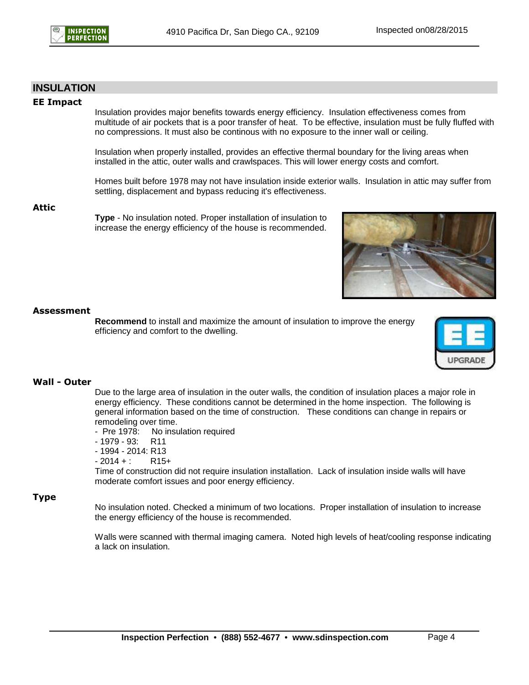

#### **INSULATION**

#### **EE Impact**

Insulation provides major benefits towards energy efficiency. Insulation effectiveness comes from multitude of air pockets that is a poor transfer of heat. To be effective, insulation must be fully fluffed with no compressions. It must also be continous with no exposure to the inner wall or ceiling.

Insulation when properly installed, provides an effective thermal boundary for the living areas when installed in the attic, outer walls and crawlspaces. This will lower energy costs and comfort.

Homes built before 1978 may not have insulation inside exterior walls. Insulation in attic may suffer from settling, displacement and bypass reducing it's effectiveness.

**Attic**

**Type** - No insulation noted. Proper installation of insulation to increase the energy efficiency of the house is recommended.



#### **Assessment**

**Recommend** to install and maximize the amount of insulation to improve the energy efficiency and comfort to the dwelling.



#### **Wall - Outer**

Due to the large area of insulation in the outer walls, the condition of insulation places a major role in energy efficiency. These conditions cannot be determined in the home inspection. The following is general information based on the time of construction. These conditions can change in repairs or remodeling over time.

- Pre 1978: No insulation required
- 1979 93: R11
- 1994 2014: R13
- $-2014 + :$  R15+

Time of construction did not require insulation installation. Lack of insulation inside walls will have moderate comfort issues and poor energy efficiency.

#### **Type**

No insulation noted. Checked a minimum of two locations. Proper installation of insulation to increase the energy efficiency of the house is recommended.

Walls were scanned with thermal imaging camera. Noted high levels of heat/cooling response indicating a lack on insulation.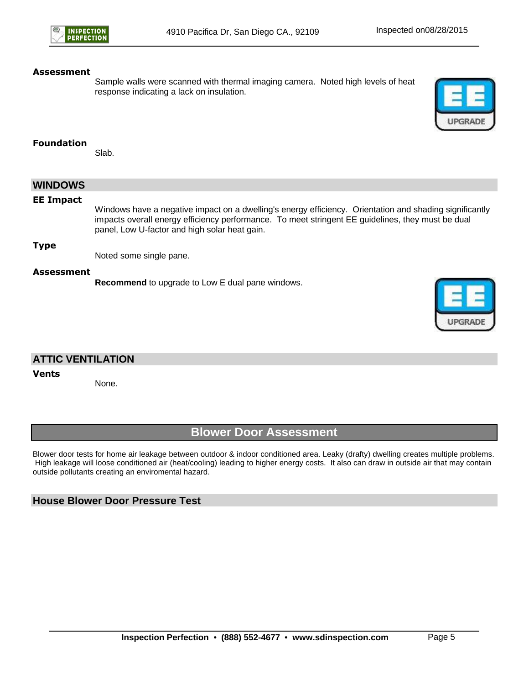

Sample walls were scanned with thermal imaging camera. Noted high levels of heat response indicating a lack on insulation.



**UPGRADE** 

#### **Foundation**

Slab.

| <b>WINDOWS</b>   |                                                                                                                                                                                                                                                               |
|------------------|---------------------------------------------------------------------------------------------------------------------------------------------------------------------------------------------------------------------------------------------------------------|
| <b>EE Impact</b> | Windows have a negative impact on a dwelling's energy efficiency. Orientation and shading significantly<br>impacts overall energy efficiency performance. To meet stringent EE guidelines, they must be dual<br>panel, Low U-factor and high solar heat gain. |
| <b>Type</b>      | Noted some single pane.                                                                                                                                                                                                                                       |
| Assessment       | Recommend to upgrade to Low E dual pane windows.                                                                                                                                                                                                              |

## **ATTIC VENTILATION**

#### **Vents**

None.

## **Blower Door Assessment**

Blower door tests for home air leakage between outdoor & indoor conditioned area. Leaky (drafty) dwelling creates multiple problems. High leakage will loose conditioned air (heat/cooling) leading to higher energy costs. It also can draw in outside air that may contain outside pollutants creating an enviromental hazard.

## **House Blower Door Pressure Test**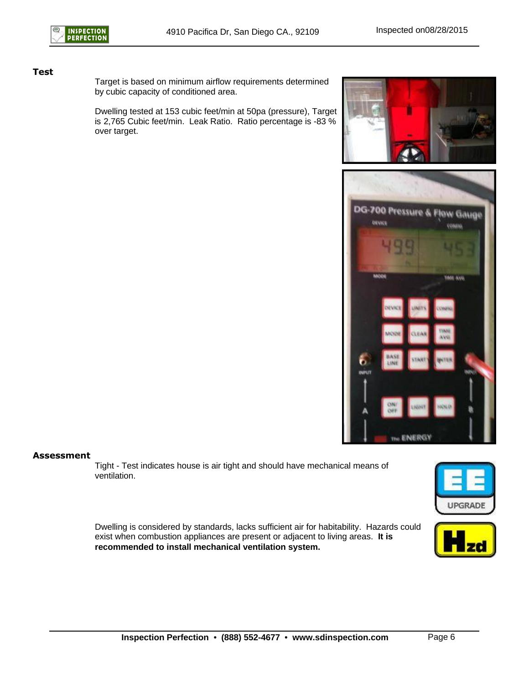#### **Test**

Target is based on minimum airflow requirements determined by cubic capacity of conditioned area.

Dwelling tested at 153 cubic feet/min at 50pa (pressure), Target is 2,765 Cubic feet/min. Leak Ratio. Ratio percentage is -83 % over target.





#### **Assessment**

Tight - Test indicates house is air tight and should have mechanical means of ventilation.



Dwelling is considered by standards, lacks sufficient air for habitability. Hazards could exist when combustion appliances are present or adjacent to living areas. **It is recommended to install mechanical ventilation system.**

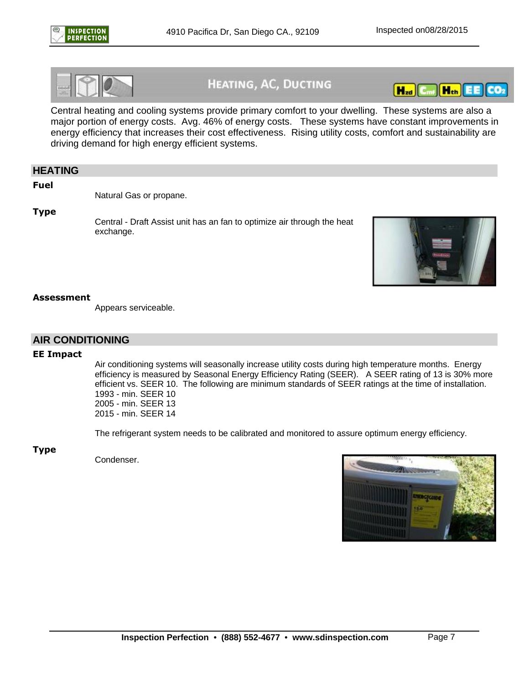



## **HEATING, AC, DUCTING**



Central heating and cooling systems provide primary comfort to your dwelling. These systems are also a major portion of energy costs. Avg. 46% of energy costs. These systems have constant improvements in energy efficiency that increases their cost effectiveness. Rising utility costs, comfort and sustainability are driving demand for high energy efficient systems.

#### **HEATING**

**Fuel**

Natural Gas or propane.

**Type**

Central - Draft Assist unit has an fan to optimize air through the heat exchange.



#### **Assessment**

Appears serviceable.

#### **AIR CONDITIONING**

#### **EE Impact**

Air conditioning systems will seasonally increase utility costs during high temperature months. Energy efficiency is measured by Seasonal Energy Efficiency Rating (SEER). A SEER rating of 13 is 30% more efficient vs. SEER 10. The following are minimum standards of SEER ratings at the time of installation. 1993 - min. SEER 10 2005 - min. SEER 13 2015 - min. SEER 14

The refrigerant system needs to be calibrated and monitored to assure optimum energy efficiency.

**Type**

Condenser.

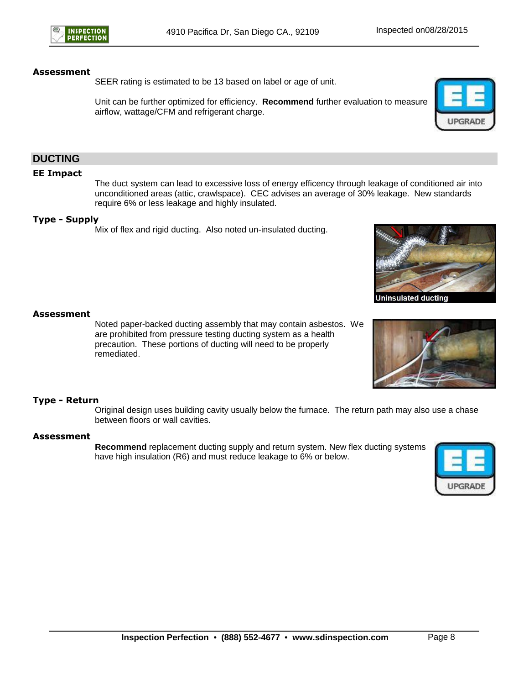SEER rating is estimated to be 13 based on label or age of unit.

Unit can be further optimized for efficiency. **Recommend** further evaluation to measure airflow, wattage/CFM and refrigerant charge.



### **DUCTING**

#### **EE Impact**

The duct system can lead to excessive loss of energy efficency through leakage of conditioned air into unconditioned areas (attic, crawlspace). CEC advises an average of 30% leakage. New standards require 6% or less leakage and highly insulated.

#### **Type - Supply**

Mix of flex and rigid ducting. Also noted un-insulated ducting.



**Uninsulated ducting** 

#### **Assessment**

Noted paper-backed ducting assembly that may contain asbestos. We are prohibited from pressure testing ducting system as a health precaution. These portions of ducting will need to be properly remediated.



#### **Type - Return**

Original design uses building cavity usually below the furnace. The return path may also use a chase between floors or wall cavities.

#### **Assessment**

**Recommend** replacement ducting supply and return system. New flex ducting systems have high insulation (R6) and must reduce leakage to 6% or below.

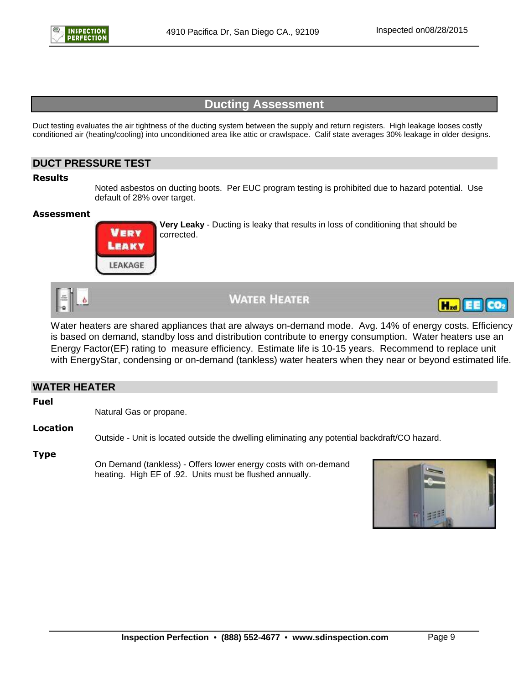

## **Ducting Assessment**

Duct testing evaluates the air tightness of the ducting system between the supply and return registers. High leakage looses costly conditioned air (heating/cooling) into unconditioned area like attic or crawlspace. Calif state averages 30% leakage in older designs.

### **DUCT PRESSURE TEST**

#### **Results**

Noted asbestos on ducting boots. Per EUC program testing is prohibited due to hazard potential. Use default of 28% over target.

#### **Assessment**



**Very Leaky** - Ducting is leaky that results in loss of conditioning that should be corrected.



**WATER HEATER** 



Water heaters are shared appliances that are always on-demand mode. Avg. 14% of energy costs. Efficiency is based on demand, standby loss and distribution contribute to energy consumption. Water heaters use an Energy Factor(EF) rating to measure efficiency. Estimate life is 10-15 years. Recommend to replace unit with EnergyStar, condensing or on-demand (tankless) water heaters when they near or beyond estimated life.

## **WATER HEATER Fuel** Natural Gas or propane. **Location** Outside - Unit is located outside the dwelling eliminating any potential backdraft/CO hazard. **Type**

On Demand (tankless) - Offers lower energy costs with on-demand heating. High EF of .92. Units must be flushed annually.

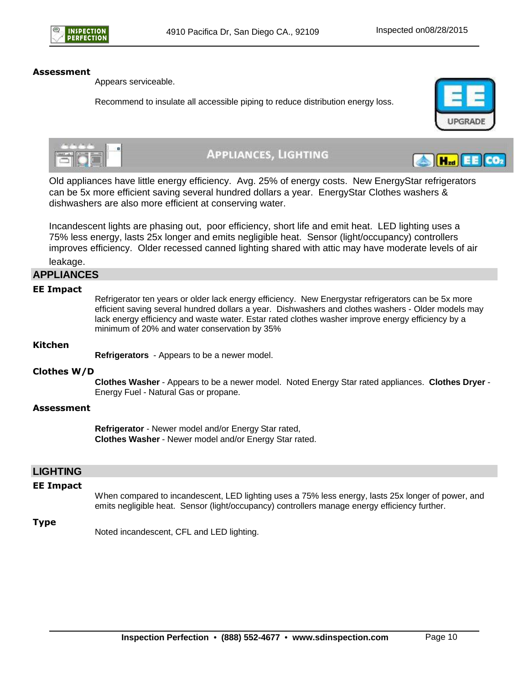

Appears serviceable.

Recommend to insulate all accessible piping to reduce distribution energy loss.



 $H_{zd}$ 



## **APPLIANCES, LIGHTING**

Old appliances have little energy efficiency. Avg. 25% of energy costs. New EnergyStar refrigerators can be 5x more efficient saving several hundred dollars a year. EnergyStar Clothes washers & dishwashers are also more efficient at conserving water.

Incandescent lights are phasing out, poor efficiency, short life and emit heat. LED lighting uses a 75% less energy, lasts 25x longer and emits negligible heat. Sensor (light/occupancy) controllers improves efficiency. Older recessed canned lighting shared with attic may have moderate levels of air

leakage.

#### **APPLIANCES**

#### **EE Impact**

Refrigerator ten years or older lack energy efficiency. New Energystar refrigerators can be 5x more efficient saving several hundred dollars a year. Dishwashers and clothes washers - Older models may lack energy efficiency and waste water. Estar rated clothes washer improve energy efficiency by a minimum of 20% and water conservation by 35%

#### **Kitchen**

**Refrigerators** - Appears to be a newer model.

#### **Clothes W/D**

**Clothes Washer** - Appears to be a newer model. Noted Energy Star rated appliances. **Clothes Dryer** - Energy Fuel - Natural Gas or propane.

#### **Assessment**

**Refrigerator** - Newer model and/or Energy Star rated, **Clothes Washer** - Newer model and/or Energy Star rated.

#### **LIGHTING**

#### **EE Impact**

When compared to incandescent, LED lighting uses a 75% less energy, lasts 25x longer of power, and emits negligible heat. Sensor (light/occupancy) controllers manage energy efficiency further.

#### **Type**

Noted incandescent, CFL and LED lighting.